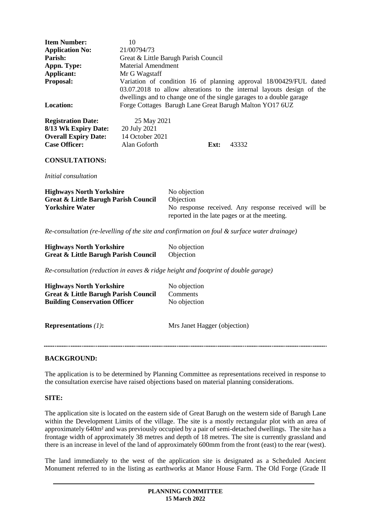| <b>Item Number:</b><br><b>Application No:</b><br>Parish:<br>Appn. Type:<br>Applicant:<br>Proposal:<br><b>Location:</b>     | 10<br>21/00794/73<br>Great & Little Barugh Parish Council<br><b>Material Amendment</b><br>Mr G Wagstaff<br>Variation of condition 16 of planning approval 18/00429/FUL dated<br>03.07.2018 to allow alterations to the internal layouts design of the<br>dwellings and to change one of the single garages to a double garage<br>Forge Cottages Barugh Lane Great Barugh Malton YO17 6UZ |                                                                                                                                   |      |       |
|----------------------------------------------------------------------------------------------------------------------------|------------------------------------------------------------------------------------------------------------------------------------------------------------------------------------------------------------------------------------------------------------------------------------------------------------------------------------------------------------------------------------------|-----------------------------------------------------------------------------------------------------------------------------------|------|-------|
| <b>Registration Date:</b>                                                                                                  | 25 May 2021<br>20 July 2021                                                                                                                                                                                                                                                                                                                                                              |                                                                                                                                   |      |       |
| 8/13 Wk Expiry Date:<br><b>Overall Expiry Date:</b>                                                                        | 14 October 2021                                                                                                                                                                                                                                                                                                                                                                          |                                                                                                                                   |      |       |
| <b>Case Officer:</b>                                                                                                       | Alan Goforth                                                                                                                                                                                                                                                                                                                                                                             |                                                                                                                                   | Ext: | 43332 |
| <b>CONSULTATIONS:</b>                                                                                                      |                                                                                                                                                                                                                                                                                                                                                                                          |                                                                                                                                   |      |       |
| Initial consultation                                                                                                       |                                                                                                                                                                                                                                                                                                                                                                                          |                                                                                                                                   |      |       |
| <b>Highways North Yorkshire</b><br><b>Great &amp; Little Barugh Parish Council</b><br><b>Yorkshire Water</b>               |                                                                                                                                                                                                                                                                                                                                                                                          | No objection<br>Objection<br>No response received. Any response received will be<br>reported in the late pages or at the meeting. |      |       |
| Re-consultation (re-levelling of the site and confirmation on foul $\&$ surface water drainage)                            |                                                                                                                                                                                                                                                                                                                                                                                          |                                                                                                                                   |      |       |
| <b>Highways North Yorkshire</b><br><b>Great &amp; Little Barugh Parish Council</b>                                         |                                                                                                                                                                                                                                                                                                                                                                                          | No objection<br>Objection                                                                                                         |      |       |
| $Re$ -consultation (reduction in eaves $\&$ ridge height and footprint of double garage)                                   |                                                                                                                                                                                                                                                                                                                                                                                          |                                                                                                                                   |      |       |
| <b>Highways North Yorkshire</b><br><b>Great &amp; Little Barugh Parish Council</b><br><b>Building Conservation Officer</b> |                                                                                                                                                                                                                                                                                                                                                                                          | No objection<br>Comments<br>No objection                                                                                          |      |       |
| Representations $(1)$ :                                                                                                    |                                                                                                                                                                                                                                                                                                                                                                                          | Mrs Janet Hagger (objection)                                                                                                      |      |       |

## **BACKGROUND:**

The application is to be determined by Planning Committee as representations received in response to the consultation exercise have raised objections based on material planning considerations.

#### **SITE:**

The application site is located on the eastern side of Great Barugh on the western side of Barugh Lane within the Development Limits of the village. The site is a mostly rectangular plot with an area of approximately 640m² and was previously occupied by a pair of semi-detached dwellings. The site has a frontage width of approximately 38 metres and depth of 18 metres. The site is currently grassland and there is an increase in level of the land of approximately 600mm from the front (east) to the rear (west).

The land immediately to the west of the application site is designated as a Scheduled Ancient Monument referred to in the listing as earthworks at Manor House Farm. The Old Forge (Grade II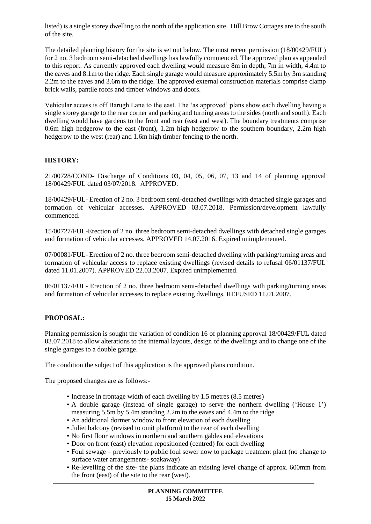listed) is a single storey dwelling to the north of the application site. Hill Brow Cottages are to the south of the site.

The detailed planning history for the site is set out below. The most recent permission (18/00429/FUL) for 2 no. 3 bedroom semi-detached dwellings has lawfully commenced. The approved plan as appended to this report. As currently approved each dwelling would measure 8m in depth, 7m in width, 4.4m to the eaves and 8.1m to the ridge. Each single garage would measure approximately 5.5m by 3m standing 2.2m to the eaves and 3.6m to the ridge. The approved external construction materials comprise clamp brick walls, pantile roofs and timber windows and doors.

Vehicular access is off Barugh Lane to the east. The 'as approved' plans show each dwelling having a single storey garage to the rear corner and parking and turning areas to the sides (north and south). Each dwelling would have gardens to the front and rear (east and west). The boundary treatments comprise 0.6m high hedgerow to the east (front), 1.2m high hedgerow to the southern boundary, 2.2m high hedgerow to the west (rear) and 1.6m high timber fencing to the north.

## **HISTORY:**

21/00728/COND- Discharge of Conditions 03, 04, 05, 06, 07, 13 and 14 of planning approval 18/00429/FUL dated 03/07/2018. APPROVED.

18/00429/FUL- Erection of 2 no. 3 bedroom semi-detached dwellings with detached single garages and formation of vehicular accesses. APPROVED 03.07.2018. Permission/development lawfully commenced.

15/00727/FUL-Erection of 2 no. three bedroom semi-detached dwellings with detached single garages and formation of vehicular accesses. APPROVED 14.07.2016. Expired unimplemented.

07/00081/FUL- Erection of 2 no. three bedroom semi-detached dwelling with parking/turning areas and formation of vehicular access to replace existing dwellings (revised details to refusal 06/01137/FUL dated 11.01.2007). APPROVED 22.03.2007. Expired unimplemented.

06/01137/FUL- Erection of 2 no. three bedroom semi-detached dwellings with parking/turning areas and formation of vehicular accesses to replace existing dwellings. REFUSED 11.01.2007.

## **PROPOSAL:**

Planning permission is sought the variation of condition 16 of planning approval 18/00429/FUL dated 03.07.2018 to allow alterations to the internal layouts, design of the dwellings and to change one of the single garages to a double garage.

The condition the subject of this application is the approved plans condition.

The proposed changes are as follows:-

- Increase in frontage width of each dwelling by 1.5 metres (8.5 metres)
- A double garage (instead of single garage) to serve the northern dwelling ('House 1') measuring 5.5m by 5.4m standing 2.2m to the eaves and 4.4m to the ridge
- An additional dormer window to front elevation of each dwelling
- Juliet balcony (revised to omit platform) to the rear of each dwelling
- No first floor windows in northern and southern gables end elevations
- Door on front (east) elevation repositioned (centred) for each dwelling
- Foul sewage previously to public foul sewer now to package treatment plant (no change to surface water arrangements- soakaway)
- Re-levelling of the site- the plans indicate an existing level change of approx. 600mm from the front (east) of the site to the rear (west).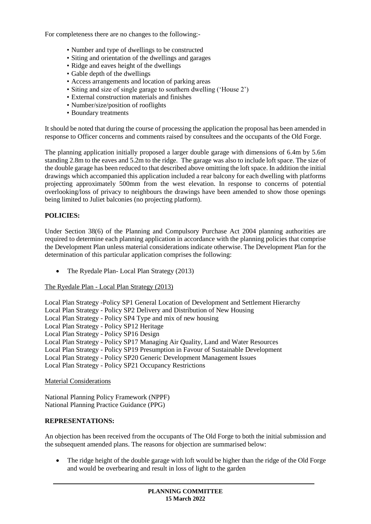For completeness there are no changes to the following:-

- Number and type of dwellings to be constructed
- Siting and orientation of the dwellings and garages
- Ridge and eaves height of the dwellings
- Gable depth of the dwellings
- Access arrangements and location of parking areas
- Siting and size of single garage to southern dwelling ('House 2')
- External construction materials and finishes
- Number/size/position of rooflights
- Boundary treatments

It should be noted that during the course of processing the application the proposal has been amended in response to Officer concerns and comments raised by consultees and the occupants of the Old Forge.

The planning application initially proposed a larger double garage with dimensions of 6.4m by 5.6m standing 2.8m to the eaves and 5.2m to the ridge.The garage was also to include loft space. The size of the double garage has been reduced to that described above omitting the loft space. In addition the initial drawings which accompanied this application included a rear balcony for each dwelling with platforms projecting approximately 500mm from the west elevation. In response to concerns of potential overlooking/loss of privacy to neighbours the drawings have been amended to show those openings being limited to Juliet balconies (no projecting platform).

### **POLICIES:**

Under Section 38(6) of the Planning and Compulsory Purchase Act 2004 planning authorities are required to determine each planning application in accordance with the planning policies that comprise the Development Plan unless material considerations indicate otherwise. The Development Plan for the determination of this particular application comprises the following:

• The Ryedale Plan- Local Plan Strategy (2013)

The Ryedale Plan - Local Plan Strategy (2013)

Local Plan Strategy -Policy SP1 General Location of Development and Settlement Hierarchy

- Local Plan Strategy Policy SP2 Delivery and Distribution of New Housing
- Local Plan Strategy Policy SP4 Type and mix of new housing
- Local Plan Strategy Policy SP12 Heritage
- Local Plan Strategy Policy SP16 Design
- Local Plan Strategy Policy SP17 Managing Air Quality, Land and Water Resources
- Local Plan Strategy Policy SP19 Presumption in Favour of Sustainable Development
- Local Plan Strategy Policy SP20 Generic Development Management Issues
- Local Plan Strategy Policy SP21 Occupancy Restrictions

### Material Considerations

National Planning Policy Framework (NPPF) National Planning Practice Guidance (PPG)

#### **REPRESENTATIONS:**

An objection has been received from the occupants of The Old Forge to both the initial submission and the subsequent amended plans. The reasons for objection are summarised below:

 The ridge height of the double garage with loft would be higher than the ridge of the Old Forge and would be overbearing and result in loss of light to the garden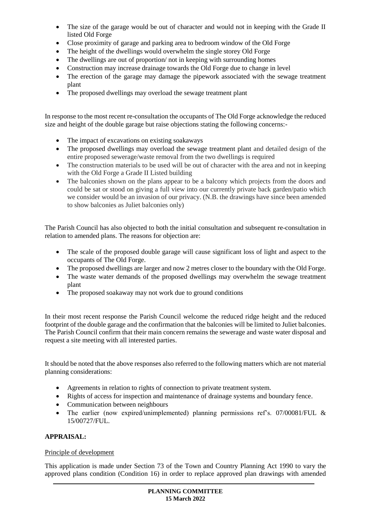- The size of the garage would be out of character and would not in keeping with the Grade II listed Old Forge
- Close proximity of garage and parking area to bedroom window of the Old Forge
- The height of the dwellings would overwhelm the single storey Old Forge
- The dwellings are out of proportion/ not in keeping with surrounding homes
- Construction may increase drainage towards the Old Forge due to change in level
- The erection of the garage may damage the pipework associated with the sewage treatment plant
- The proposed dwellings may overload the sewage treatment plant

In response to the most recent re-consultation the occupants of The Old Forge acknowledge the reduced size and height of the double garage but raise objections stating the following concerns:-

- The impact of excavations on existing soakaways
- The proposed dwellings may overload the sewage treatment plant and detailed design of the entire proposed sewerage/waste removal from the two dwellings is required
- The construction materials to be used will be out of character with the area and not in keeping with the Old Forge a Grade II Listed building
- The balconies shown on the plans appear to be a balcony which projects from the doors and could be sat or stood on giving a full view into our currently private back garden/patio which we consider would be an invasion of our privacy. (N.B. the drawings have since been amended to show balconies as Juliet balconies only)

The Parish Council has also objected to both the initial consultation and subsequent re-consultation in relation to amended plans. The reasons for objection are:

- The scale of the proposed double garage will cause significant loss of light and aspect to the occupants of The Old Forge.
- The proposed dwellings are larger and now 2 metres closer to the boundary with the Old Forge.
- The waste water demands of the proposed dwellings may overwhelm the sewage treatment plant
- The proposed soakaway may not work due to ground conditions

In their most recent response the Parish Council welcome the reduced ridge height and the reduced footprint of the double garage and the confirmation that the balconies will be limited to Juliet balconies. The Parish Council confirm that their main concern remains the sewerage and waste water disposal and request a site meeting with all interested parties.

It should be noted that the above responses also referred to the following matters which are not material planning considerations:

- Agreements in relation to rights of connection to private treatment system.
- Rights of access for inspection and maintenance of drainage systems and boundary fence.
- Communication between neighbours
- The earlier (now expired/unimplemented) planning permissions ref's. 07/00081/FUL & 15/00727/FUL.

## **APPRAISAL:**

## Principle of development

This application is made under Section 73 of the Town and Country Planning Act 1990 to vary the approved plans condition (Condition 16) in order to replace approved plan drawings with amended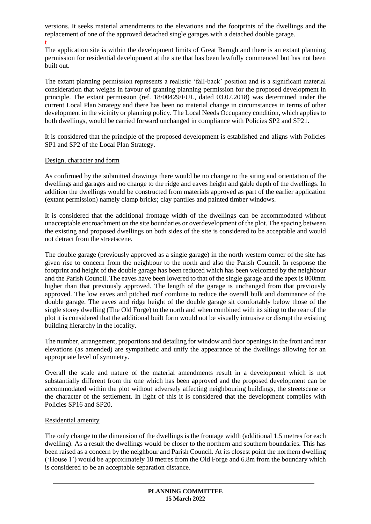versions. It seeks material amendments to the elevations and the footprints of the dwellings and the replacement of one of the approved detached single garages with a detached double garage. t

The application site is within the development limits of Great Barugh and there is an extant planning permission for residential development at the site that has been lawfully commenced but has not been built out.

The extant planning permission represents a realistic 'fall-back' position and is a significant material consideration that weighs in favour of granting planning permission for the proposed development in principle. The extant permission (ref. 18/00429/FUL, dated 03.07.2018) was determined under the current Local Plan Strategy and there has been no material change in circumstances in terms of other development in the vicinity or planning policy. The Local Needs Occupancy condition, which applies to both dwellings, would be carried forward unchanged in compliance with Policies SP2 and SP21.

It is considered that the principle of the proposed development is established and aligns with Policies SP1 and SP2 of the Local Plan Strategy.

### Design, character and form

As confirmed by the submitted drawings there would be no change to the siting and orientation of the dwellings and garages and no change to the ridge and eaves height and gable depth of the dwellings. In addition the dwellings would be constructed from materials approved as part of the earlier application (extant permission) namely clamp bricks; clay pantiles and painted timber windows.

It is considered that the additional frontage width of the dwellings can be accommodated without unacceptable encroachment on the site boundaries or overdevelopment of the plot. The spacing between the existing and proposed dwellings on both sides of the site is considered to be acceptable and would not detract from the streetscene.

The double garage (previously approved as a single garage) in the north western corner of the site has given rise to concern from the neighbour to the north and also the Parish Council. In response the footprint and height of the double garage has been reduced which has been welcomed by the neighbour and the Parish Council. The eaves have been lowered to that of the single garage and the apex is 800mm higher than that previously approved. The length of the garage is unchanged from that previously approved. The low eaves and pitched roof combine to reduce the overall bulk and dominance of the double garage. The eaves and ridge height of the double garage sit comfortably below those of the single storey dwelling (The Old Forge) to the north and when combined with its siting to the rear of the plot it is considered that the additional built form would not be visually intrusive or disrupt the existing building hierarchy in the locality.

The number, arrangement, proportions and detailing for window and door openings in the front and rear elevations (as amended) are sympathetic and unify the appearance of the dwellings allowing for an appropriate level of symmetry.

Overall the scale and nature of the material amendments result in a development which is not substantially different from the one which has been approved and the proposed development can be accommodated within the plot without adversely affecting neighbouring buildings, the streetscene or the character of the settlement. In light of this it is considered that the development complies with Policies SP16 and SP20.

#### Residential amenity

The only change to the dimension of the dwellings is the frontage width (additional 1.5 metres for each dwelling). As a result the dwellings would be closer to the northern and southern boundaries. This has been raised as a concern by the neighbour and Parish Council. At its closest point the northern dwelling ('House 1') would be approximately 18 metres from the Old Forge and 6.8m from the boundary which is considered to be an acceptable separation distance.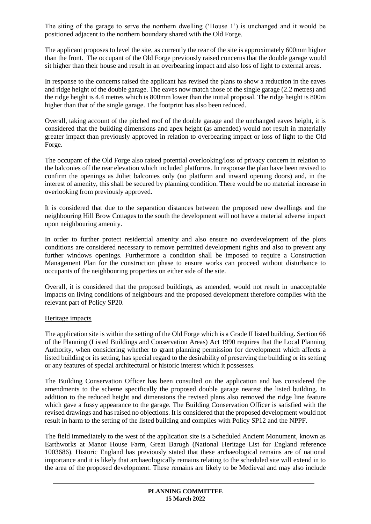The siting of the garage to serve the northern dwelling ('House 1') is unchanged and it would be positioned adjacent to the northern boundary shared with the Old Forge.

The applicant proposes to level the site, as currently the rear of the site is approximately 600mm higher than the front. The occupant of the Old Forge previously raised concerns that the double garage would sit higher than their house and result in an overbearing impact and also loss of light to external areas.

In response to the concerns raised the applicant has revised the plans to show a reduction in the eaves and ridge height of the double garage. The eaves now match those of the single garage (2.2 metres) and the ridge height is 4.4 metres which is 800mm lower than the initial proposal. The ridge height is 800m higher than that of the single garage. The footprint has also been reduced.

Overall, taking account of the pitched roof of the double garage and the unchanged eaves height, it is considered that the building dimensions and apex height (as amended) would not result in materially greater impact than previously approved in relation to overbearing impact or loss of light to the Old Forge.

The occupant of the Old Forge also raised potential overlooking/loss of privacy concern in relation to the balconies off the rear elevation which included platforms. In response the plan have been revised to confirm the openings as Juliet balconies only (no platform and inward opening doors) and, in the interest of amenity, this shall be secured by planning condition. There would be no material increase in overlooking from previously approved.

It is considered that due to the separation distances between the proposed new dwellings and the neighbouring Hill Brow Cottages to the south the development will not have a material adverse impact upon neighbouring amenity.

In order to further protect residential amenity and also ensure no overdevelopment of the plots conditions are considered necessary to remove permitted development rights and also to prevent any further windows openings. Furthermore a condition shall be imposed to require a Construction Management Plan for the construction phase to ensure works can proceed without disturbance to occupants of the neighbouring properties on either side of the site.

Overall, it is considered that the proposed buildings, as amended, would not result in unacceptable impacts on living conditions of neighbours and the proposed development therefore complies with the relevant part of Policy SP20.

## Heritage impacts

The application site is within the setting of the Old Forge which is a Grade II listed building. Section 66 of the Planning (Listed Buildings and Conservation Areas) Act 1990 requires that the Local Planning Authority, when considering whether to grant planning permission for development which affects a listed building or its setting, has special regard to the desirability of preserving the building or its setting or any features of special architectural or historic interest which it possesses.

The Building Conservation Officer has been consulted on the application and has considered the amendments to the scheme specifically the proposed double garage nearest the listed building. In addition to the reduced height and dimensions the revised plans also removed the ridge line feature which gave a fussy appearance to the garage. The Building Conservation Officer is satisfied with the revised drawings and has raised no objections. It is considered that the proposed development would not result in harm to the setting of the listed building and complies with Policy SP12 and the NPPF.

The field immediately to the west of the application site is a Scheduled Ancient Monument, known as Earthworks at Manor House Farm, Great Barugh (National Heritage List for England reference 1003686). Historic England has previously stated that these archaeological remains are of national importance and it is likely that archaeologically remains relating to the scheduled site will extend in to the area of the proposed development. These remains are likely to be Medieval and may also include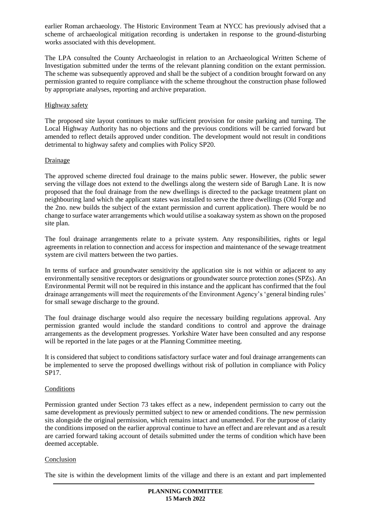earlier Roman archaeology. The Historic Environment Team at NYCC has previously advised that a scheme of archaeological mitigation recording is undertaken in response to the ground-disturbing works associated with this development.

The LPA consulted the County Archaeologist in relation to an Archaeological Written Scheme of Investigation submitted under the terms of the relevant planning condition on the extant permission. The scheme was subsequently approved and shall be the subject of a condition brought forward on any permission granted to require compliance with the scheme throughout the construction phase followed by appropriate analyses, reporting and archive preparation.

## Highway safety

The proposed site layout continues to make sufficient provision for onsite parking and turning. The Local Highway Authority has no objections and the previous conditions will be carried forward but amended to reflect details approved under condition. The development would not result in conditions detrimental to highway safety and complies with Policy SP20.

# Drainage

The approved scheme directed foul drainage to the mains public sewer. However, the public sewer serving the village does not extend to the dwellings along the western side of Barugh Lane. It is now proposed that the foul drainage from the new dwellings is directed to the package treatment plant on neighbouring land which the applicant states was installed to serve the three dwellings (Old Forge and the 2no. new builds the subject of the extant permission and current application). There would be no change to surface water arrangements which would utilise a soakaway system as shown on the proposed site plan.

The foul drainage arrangements relate to a private system. Any responsibilities, rights or legal agreements in relation to connection and access for inspection and maintenance of the sewage treatment system are civil matters between the two parties.

In terms of surface and groundwater sensitivity the application site is not within or adjacent to any environmentally sensitive receptors or designations or groundwater source protection zones (SPZs). An Environmental Permit will not be required in this instance and the applicant has confirmed that the foul drainage arrangements will meet the requirements of the Environment Agency's 'general binding rules' for small sewage discharge to the ground.

The foul drainage discharge would also require the necessary building regulations approval. Any permission granted would include the standard conditions to control and approve the drainage arrangements as the development progresses. Yorkshire Water have been consulted and any response will be reported in the late pages or at the Planning Committee meeting.

It is considered that subject to conditions satisfactory surface water and foul drainage arrangements can be implemented to serve the proposed dwellings without risk of pollution in compliance with Policy SP17.

## **Conditions**

Permission granted under Section 73 takes effect as a new, independent permission to carry out the same development as previously permitted subject to new or amended conditions. The new permission sits alongside the original permission, which remains intact and unamended. For the purpose of clarity the conditions imposed on the earlier approval continue to have an effect and are relevant and as a result are carried forward taking account of details submitted under the terms of condition which have been deemed acceptable.

## Conclusion

The site is within the development limits of the village and there is an extant and part implemented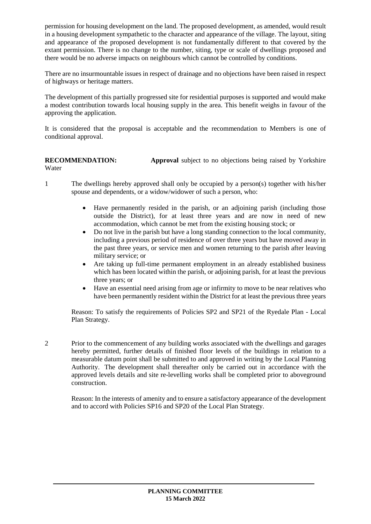permission for housing development on the land. The proposed development, as amended, would result in a housing development sympathetic to the character and appearance of the village. The layout, siting and appearance of the proposed development is not fundamentally different to that covered by the extant permission. There is no change to the number, siting, type or scale of dwellings proposed and there would be no adverse impacts on neighbours which cannot be controlled by conditions.

There are no insurmountable issues in respect of drainage and no objections have been raised in respect of highways or heritage matters.

The development of this partially progressed site for residential purposes is supported and would make a modest contribution towards local housing supply in the area. This benefit weighs in favour of the approving the application.

It is considered that the proposal is acceptable and the recommendation to Members is one of conditional approval.

## **RECOMMENDATION: Approval** subject to no objections being raised by Yorkshire Water

- 1 The dwellings hereby approved shall only be occupied by a person(s) together with his/her spouse and dependents, or a widow/widower of such a person, who:
	- Have permanently resided in the parish, or an adjoining parish (including those outside the District), for at least three years and are now in need of new accommodation, which cannot be met from the existing housing stock; or
	- Do not live in the parish but have a long standing connection to the local community, including a previous period of residence of over three years but have moved away in the past three years, or service men and women returning to the parish after leaving military service; or
	- Are taking up full-time permanent employment in an already established business which has been located within the parish, or adjoining parish, for at least the previous three years; or
	- Have an essential need arising from age or infirmity to move to be near relatives who have been permanently resident within the District for at least the previous three years

Reason: To satisfy the requirements of Policies SP2 and SP21 of the Ryedale Plan - Local Plan Strategy.

2 Prior to the commencement of any building works associated with the dwellings and garages hereby permitted, further details of finished floor levels of the buildings in relation to a measurable datum point shall be submitted to and approved in writing by the Local Planning Authority. The development shall thereafter only be carried out in accordance with the approved levels details and site re-levelling works shall be completed prior to aboveground construction.

Reason: In the interests of amenity and to ensure a satisfactory appearance of the development and to accord with Policies SP16 and SP20 of the Local Plan Strategy.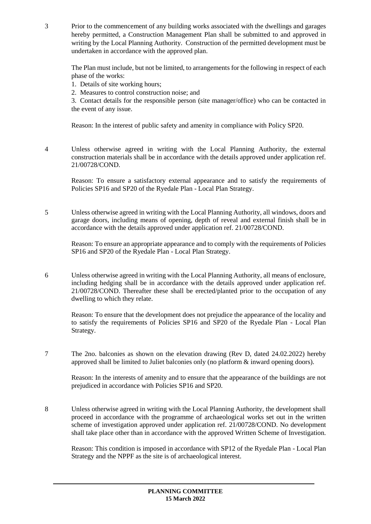3 Prior to the commencement of any building works associated with the dwellings and garages hereby permitted, a Construction Management Plan shall be submitted to and approved in writing by the Local Planning Authority. Construction of the permitted development must be undertaken in accordance with the approved plan.

The Plan must include, but not be limited, to arrangements for the following in respect of each phase of the works:

- 1. Details of site working hours;
- 2. Measures to control construction noise; and

3. Contact details for the responsible person (site manager/office) who can be contacted in the event of any issue.

Reason: In the interest of public safety and amenity in compliance with Policy SP20.

4 Unless otherwise agreed in writing with the Local Planning Authority, the external construction materials shall be in accordance with the details approved under application ref. 21/00728/COND.

Reason: To ensure a satisfactory external appearance and to satisfy the requirements of Policies SP16 and SP20 of the Ryedale Plan - Local Plan Strategy.

5 Unless otherwise agreed in writing with the Local Planning Authority, all windows, doors and garage doors, including means of opening, depth of reveal and external finish shall be in accordance with the details approved under application ref. 21/00728/COND.

Reason: To ensure an appropriate appearance and to comply with the requirements of Policies SP16 and SP20 of the Ryedale Plan - Local Plan Strategy.

6 Unless otherwise agreed in writing with the Local Planning Authority, all means of enclosure, including hedging shall be in accordance with the details approved under application ref. 21/00728/COND. Thereafter these shall be erected/planted prior to the occupation of any dwelling to which they relate.

Reason: To ensure that the development does not prejudice the appearance of the locality and to satisfy the requirements of Policies SP16 and SP20 of the Ryedale Plan - Local Plan Strategy.

7 The 2no. balconies as shown on the elevation drawing (Rev D, dated 24.02.2022) hereby approved shall be limited to Juliet balconies only (no platform  $\&$  inward opening doors).

Reason: In the interests of amenity and to ensure that the appearance of the buildings are not prejudiced in accordance with Policies SP16 and SP20.

8 Unless otherwise agreed in writing with the Local Planning Authority, the development shall proceed in accordance with the programme of archaeological works set out in the written scheme of investigation approved under application ref. 21/00728/COND. No development shall take place other than in accordance with the approved Written Scheme of Investigation.

Reason: This condition is imposed in accordance with SP12 of the Ryedale Plan - Local Plan Strategy and the NPPF as the site is of archaeological interest.

> **PLANNING COMMITTEE 15 March 2022**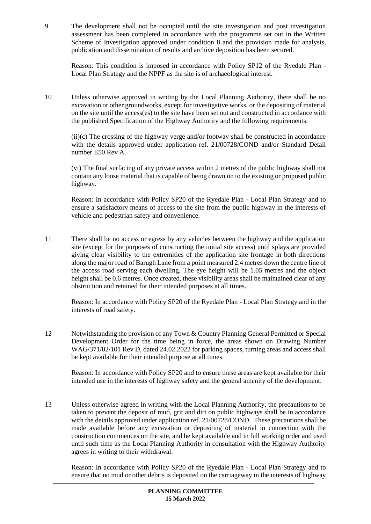9 The development shall not be occupied until the site investigation and post investigation assessment has been completed in accordance with the programme set out in the Written Scheme of Investigation approved under condition 8 and the provision made for analysis, publication and dissemination of results and archive deposition has been secured.

Reason: This condition is imposed in accordance with Policy SP12 of the Ryedale Plan - Local Plan Strategy and the NPPF as the site is of archaeological interest.

10 Unless otherwise approved in writing by the Local Planning Authority, there shall be no excavation or other groundworks, except for investigative works, or the depositing of material on the site until the access(es) to the site have been set out and constructed in accordance with the published Specification of the Highway Authority and the following requirements:

(ii)(c) The crossing of the highway verge and/or footway shall be constructed in accordance with the details approved under application ref. 21/00728/COND and/or Standard Detail number E50 Rev A.

(vi) The final surfacing of any private access within 2 metres of the public highway shall not contain any loose material that is capable of being drawn on to the existing or proposed public highway.

Reason: In accordance with Policy SP20 of the Ryedale Plan - Local Plan Strategy and to ensure a satisfactory means of access to the site from the public highway in the interests of vehicle and pedestrian safety and convenience.

11 There shall be no access or egress by any vehicles between the highway and the application site (except for the purposes of constructing the initial site access) until splays are provided giving clear visibility to the extremities of the application site frontage in both directions along the major road of Barugh Lane from a point measured 2.4 metres down the centre line of the access road serving each dwelling. The eye height will be 1.05 metres and the object height shall be 0.6 metres. Once created, these visibility areas shall be maintained clear of any obstruction and retained for their intended purposes at all times.

Reason: In accordance with Policy SP20 of the Ryedale Plan - Local Plan Strategy and in the interests of road safety.

12 Notwithstanding the provision of any Town & Country Planning General Permitted or Special Development Order for the time being in force, the areas shown on Drawing Number WAG/371/02/101 Rev D, dated 24.02.2022 for parking spaces, turning areas and access shall be kept available for their intended purpose at all times.

Reason: In accordance with Policy SP20 and to ensure these areas are kept available for their intended use in the interests of highway safety and the general amenity of the development.

13 Unless otherwise agreed in writing with the Local Planning Authority, the precautions to be taken to prevent the deposit of mud, grit and dirt on public highways shall be in accordance with the details approved under application ref. 21/00728/COND. These precautions shall be made available before any excavation or depositing of material in connection with the construction commences on the site, and be kept available and in full working order and used until such time as the Local Planning Authority in consultation with the Highway Authority agrees in writing to their withdrawal.

Reason: In accordance with Policy SP20 of the Ryedale Plan - Local Plan Strategy and to ensure that no mud or other debris is deposited on the carriageway in the interests of highway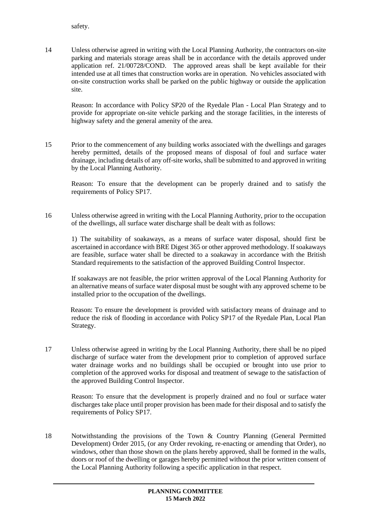safety.

14 Unless otherwise agreed in writing with the Local Planning Authority, the contractors on-site parking and materials storage areas shall be in accordance with the details approved under application ref. 21/00728/COND. The approved areas shall be kept available for their intended use at all times that construction works are in operation. No vehicles associated with on-site construction works shall be parked on the public highway or outside the application site.

Reason: In accordance with Policy SP20 of the Ryedale Plan - Local Plan Strategy and to provide for appropriate on-site vehicle parking and the storage facilities, in the interests of highway safety and the general amenity of the area.

15 Prior to the commencement of any building works associated with the dwellings and garages hereby permitted, details of the proposed means of disposal of foul and surface water drainage, including details of any off-site works, shall be submitted to and approved in writing by the Local Planning Authority.

Reason: To ensure that the development can be properly drained and to satisfy the requirements of Policy SP17.

16 Unless otherwise agreed in writing with the Local Planning Authority, prior to the occupation of the dwellings, all surface water discharge shall be dealt with as follows:

1) The suitability of soakaways, as a means of surface water disposal, should first be ascertained in accordance with BRE Digest 365 or other approved methodology. If soakaways are feasible, surface water shall be directed to a soakaway in accordance with the British Standard requirements to the satisfaction of the approved Building Control Inspector.

If soakaways are not feasible, the prior written approval of the Local Planning Authority for an alternative means of surface water disposal must be sought with any approved scheme to be installed prior to the occupation of the dwellings.

Reason: To ensure the development is provided with satisfactory means of drainage and to reduce the risk of flooding in accordance with Policy SP17 of the Ryedale Plan, Local Plan Strategy.

17 Unless otherwise agreed in writing by the Local Planning Authority, there shall be no piped discharge of surface water from the development prior to completion of approved surface water drainage works and no buildings shall be occupied or brought into use prior to completion of the approved works for disposal and treatment of sewage to the satisfaction of the approved Building Control Inspector.

Reason: To ensure that the development is properly drained and no foul or surface water discharges take place until proper provision has been made for their disposal and to satisfy the requirements of Policy SP17.

18 Notwithstanding the provisions of the Town & Country Planning (General Permitted Development) Order 2015, (or any Order revoking, re-enacting or amending that Order), no windows, other than those shown on the plans hereby approved, shall be formed in the walls, doors or roof of the dwelling or garages hereby permitted without the prior written consent of the Local Planning Authority following a specific application in that respect.